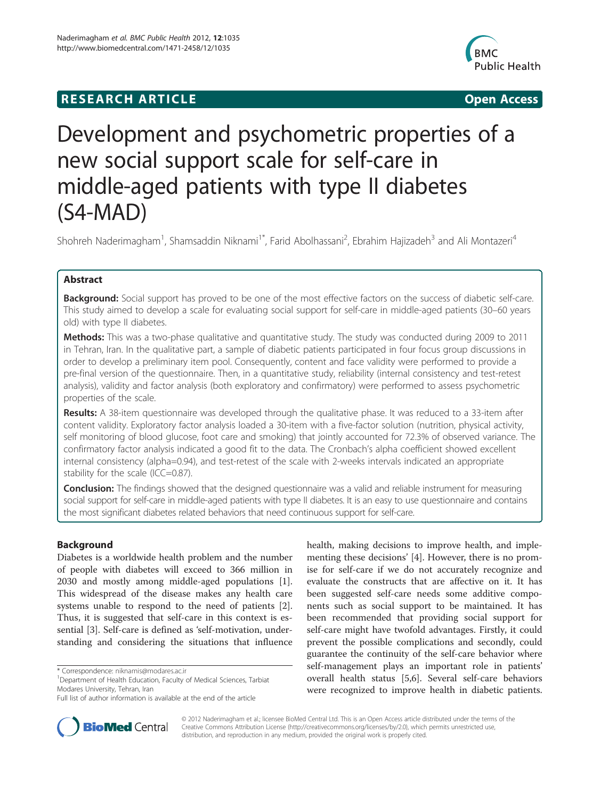## **RESEARCH ARTICLE Example 20 and 20 and 20 and 20 and 20 and 20 and 20 and 20 and 20 and 20 and 20 and 20 and 20 and 20 and 20 and 20 and 20 and 20 and 20 and 20 and 20 and 20 and 20 and 20 and 20 and 20 and 20 and 20 an**



# Development and psychometric properties of a new social support scale for self-care in middle-aged patients with type II diabetes (S4-MAD)

Shohreh Naderimagham<sup>1</sup>, Shamsaddin Niknami<sup>1\*</sup>, Farid Abolhassani<sup>2</sup>, Ebrahim Hajizadeh<sup>3</sup> and Ali Montazeri<sup>4</sup>

## Abstract

**Background:** Social support has proved to be one of the most effective factors on the success of diabetic self-care. This study aimed to develop a scale for evaluating social support for self-care in middle-aged patients (30–60 years old) with type II diabetes.

**Methods:** This was a two-phase qualitative and quantitative study. The study was conducted during 2009 to 2011 in Tehran, Iran. In the qualitative part, a sample of diabetic patients participated in four focus group discussions in order to develop a preliminary item pool. Consequently, content and face validity were performed to provide a pre-final version of the questionnaire. Then, in a quantitative study, reliability (internal consistency and test-retest analysis), validity and factor analysis (both exploratory and confirmatory) were performed to assess psychometric properties of the scale.

Results: A 38-item questionnaire was developed through the qualitative phase. It was reduced to a 33-item after content validity. Exploratory factor analysis loaded a 30-item with a five-factor solution (nutrition, physical activity, self monitoring of blood glucose, foot care and smoking) that jointly accounted for 72.3% of observed variance. The confirmatory factor analysis indicated a good fit to the data. The Cronbach's alpha coefficient showed excellent internal consistency (alpha=0.94), and test-retest of the scale with 2-weeks intervals indicated an appropriate stability for the scale (ICC=0.87).

**Conclusion:** The findings showed that the designed questionnaire was a valid and reliable instrument for measuring social support for self-care in middle-aged patients with type II diabetes. It is an easy to use questionnaire and contains the most significant diabetes related behaviors that need continuous support for self-care.

## Background

Diabetes is a worldwide health problem and the number of people with diabetes will exceed to 366 million in 2030 and mostly among middle-aged populations [\[1](#page-7-0)]. This widespread of the disease makes any health care systems unable to respond to the need of patients [\[2](#page-7-0)]. Thus, it is suggested that self-care in this context is essential [\[3](#page-7-0)]. Self-care is defined as 'self-motivation, understanding and considering the situations that influence

\* Correspondence: [niknamis@modares.ac.ir](mailto:niknamis@modares.ac.ir) <sup>1</sup>



**BioMed** Central

© 2012 Naderimagham et al.; licensee BioMed Central Ltd. This is an Open Access article distributed under the terms of the Creative Commons Attribution License (<http://creativecommons.org/licenses/by/2.0>), which permits unrestricted use, distribution, and reproduction in any medium, provided the original work is properly cited.

<sup>&</sup>lt;sup>1</sup>Department of Health Education, Faculty of Medical Sciences, Tarbiat Modares University, Tehran, Iran

Full list of author information is available at the end of the article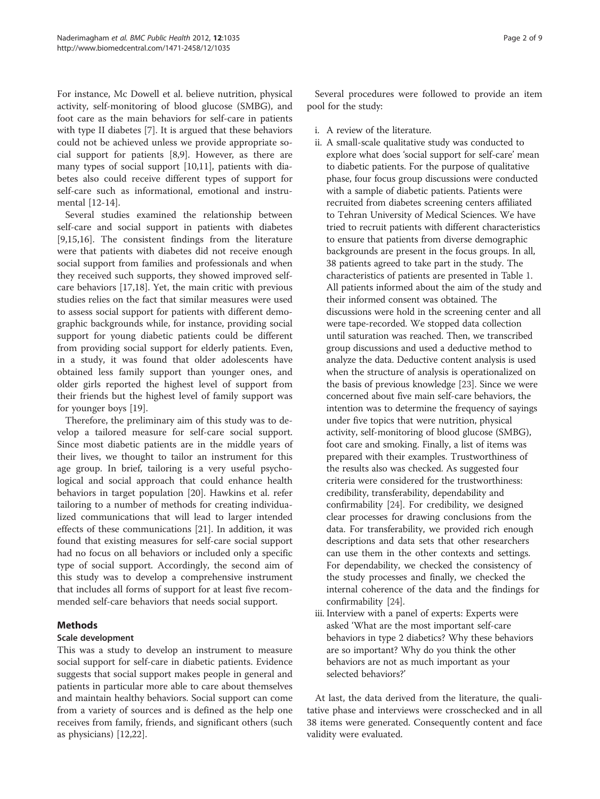For instance, Mc Dowell et al. believe nutrition, physical activity, self-monitoring of blood glucose (SMBG), and foot care as the main behaviors for self-care in patients with type II diabetes [\[7](#page-7-0)]. It is argued that these behaviors could not be achieved unless we provide appropriate social support for patients [\[8,9](#page-7-0)]. However, as there are many types of social support [[10](#page-7-0),[11](#page-7-0)], patients with diabetes also could receive different types of support for self-care such as informational, emotional and instrumental [[12-14](#page-7-0)].

Several studies examined the relationship between self-care and social support in patients with diabetes [[9,15,16\]](#page-7-0). The consistent findings from the literature were that patients with diabetes did not receive enough social support from families and professionals and when they received such supports, they showed improved selfcare behaviors [[17,18\]](#page-7-0). Yet, the main critic with previous studies relies on the fact that similar measures were used to assess social support for patients with different demographic backgrounds while, for instance, providing social support for young diabetic patients could be different from providing social support for elderly patients. Even, in a study, it was found that older adolescents have obtained less family support than younger ones, and older girls reported the highest level of support from their friends but the highest level of family support was for younger boys [[19\]](#page-7-0).

Therefore, the preliminary aim of this study was to develop a tailored measure for self-care social support. Since most diabetic patients are in the middle years of their lives, we thought to tailor an instrument for this age group. In brief, tailoring is a very useful psychological and social approach that could enhance health behaviors in target population [\[20](#page-7-0)]. Hawkins et al. refer tailoring to a number of methods for creating individualized communications that will lead to larger intended effects of these communications [[21](#page-7-0)]. In addition, it was found that existing measures for self-care social support had no focus on all behaviors or included only a specific type of social support. Accordingly, the second aim of this study was to develop a comprehensive instrument that includes all forms of support for at least five recommended self-care behaviors that needs social support.

## Methods

## Scale development

This was a study to develop an instrument to measure social support for self-care in diabetic patients. Evidence suggests that social support makes people in general and patients in particular more able to care about themselves and maintain healthy behaviors. Social support can come from a variety of sources and is defined as the help one receives from family, friends, and significant others (such as physicians) [[12,22\]](#page-7-0).

Several procedures were followed to provide an item pool for the study:

- i. A review of the literature.
- ii. A small-scale qualitative study was conducted to explore what does 'social support for self-care' mean to diabetic patients. For the purpose of qualitative phase, four focus group discussions were conducted with a sample of diabetic patients. Patients were recruited from diabetes screening centers affiliated to Tehran University of Medical Sciences. We have tried to recruit patients with different characteristics to ensure that patients from diverse demographic backgrounds are present in the focus groups. In all, 38 patients agreed to take part in the study. The characteristics of patients are presented in Table [1.](#page-2-0) All patients informed about the aim of the study and their informed consent was obtained. The discussions were hold in the screening center and all were tape-recorded. We stopped data collection until saturation was reached. Then, we transcribed group discussions and used a deductive method to analyze the data. Deductive content analysis is used when the structure of analysis is operationalized on the basis of previous knowledge [\[23](#page-7-0)]. Since we were concerned about five main self-care behaviors, the intention was to determine the frequency of sayings under five topics that were nutrition, physical activity, self-monitoring of blood glucose (SMBG), foot care and smoking. Finally, a list of items was prepared with their examples. Trustworthiness of the results also was checked. As suggested four criteria were considered for the trustworthiness: credibility, transferability, dependability and confirmability [\[24\]](#page-7-0). For credibility, we designed clear processes for drawing conclusions from the data. For transferability, we provided rich enough descriptions and data sets that other researchers can use them in the other contexts and settings. For dependability, we checked the consistency of the study processes and finally, we checked the internal coherence of the data and the findings for confirmability [\[24\]](#page-7-0).
- iii. Interview with a panel of experts: Experts were asked 'What are the most important self-care behaviors in type 2 diabetics? Why these behaviors are so important? Why do you think the other behaviors are not as much important as your selected behaviors?'

At last, the data derived from the literature, the qualitative phase and interviews were crosschecked and in all 38 items were generated. Consequently content and face validity were evaluated.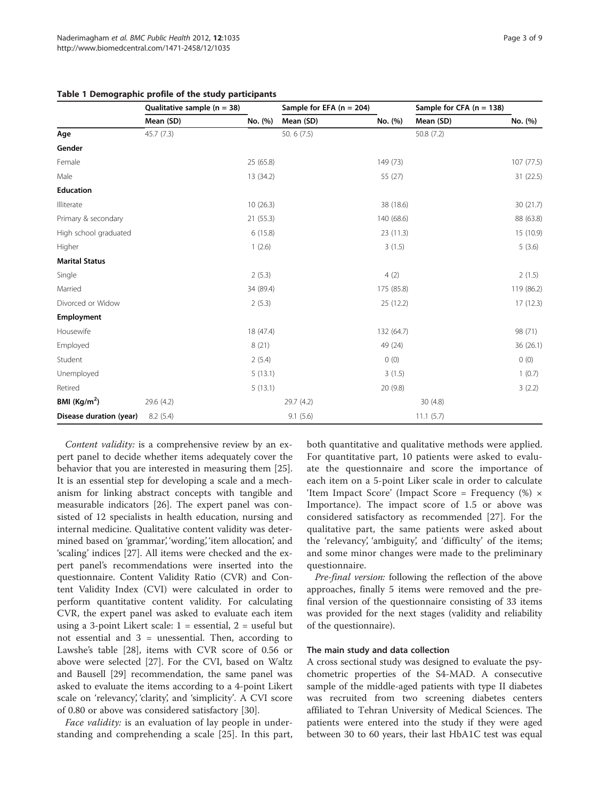|                         | Qualitative sample ( $n = 38$ )<br>Mean (SD) | No. (%)   | Sample for EFA $(n = 204)$<br>Mean (SD) | No. (%)    | Sample for CFA $(n = 138)$<br>Mean (SD) | No. (%)    |
|-------------------------|----------------------------------------------|-----------|-----------------------------------------|------------|-----------------------------------------|------------|
|                         |                                              |           |                                         |            |                                         |            |
| Age                     | 45.7(7.3)                                    |           | 50.6 (7.5)                              |            | 50.8 (7.2)                              |            |
| Gender                  |                                              |           |                                         |            |                                         |            |
| Female                  |                                              | 25 (65.8) |                                         | 149 (73)   |                                         | 107 (77.5) |
| Male                    |                                              | 13 (34.2) |                                         | 55 (27)    |                                         | 31 (22.5)  |
| <b>Education</b>        |                                              |           |                                         |            |                                         |            |
| Illiterate              |                                              | 10(26.3)  |                                         | 38 (18.6)  |                                         | 30 (21.7)  |
| Primary & secondary     |                                              | 21(55.3)  |                                         | 140 (68.6) |                                         | 88 (63.8)  |
| High school graduated   |                                              | 6(15.8)   |                                         | 23 (11.3)  |                                         | 15 (10.9)  |
| Higher                  |                                              | 1(2.6)    |                                         | 3(1.5)     |                                         | 5(3.6)     |
| <b>Marital Status</b>   |                                              |           |                                         |            |                                         |            |
| Single                  |                                              | 2(5.3)    |                                         | 4(2)       |                                         | 2(1.5)     |
| Married                 |                                              | 34 (89.4) |                                         | 175 (85.8) |                                         | 119 (86.2) |
| Divorced or Widow       |                                              | 2(5.3)    |                                         | 25 (12.2)  |                                         | 17(12.3)   |
| Employment              |                                              |           |                                         |            |                                         |            |
| Housewife               |                                              | 18 (47.4) |                                         | 132 (64.7) |                                         | 98 (71)    |
| Employed                |                                              | 8(21)     |                                         | 49 (24)    |                                         | 36 (26.1)  |
| Student                 |                                              | 2(5.4)    |                                         | 0(0)       |                                         | 0(0)       |
| Unemployed              |                                              | 5(13.1)   |                                         | 3(1.5)     |                                         | 1(0.7)     |
| Retired                 |                                              | 5(13.1)   |                                         | 20 (9.8)   |                                         | 3(2.2)     |
| BMI $(Kg/m2)$           | 29.6 (4.2)                                   |           | 29.7 (4.2)                              |            | 30(4.8)                                 |            |
| Disease duration (year) | 8.2(5.4)                                     |           | 9.1(5.6)                                |            | 11.1(5.7)                               |            |

#### <span id="page-2-0"></span>Table 1 Demographic profile of the study participants

Content validity: is a comprehensive review by an expert panel to decide whether items adequately cover the behavior that you are interested in measuring them [\[25](#page-7-0)]. It is an essential step for developing a scale and a mechanism for linking abstract concepts with tangible and measurable indicators [\[26](#page-7-0)]. The expert panel was consisted of 12 specialists in health education, nursing and internal medicine. Qualitative content validity was determined based on 'grammar', 'wording', 'item allocation', and 'scaling' indices [[27\]](#page-7-0). All items were checked and the expert panel's recommendations were inserted into the questionnaire. Content Validity Ratio (CVR) and Content Validity Index (CVI) were calculated in order to perform quantitative content validity. For calculating CVR, the expert panel was asked to evaluate each item using a 3-point Likert scale:  $1 =$  essential,  $2 =$  useful but not essential and  $3 =$  unessential. Then, according to Lawshe's table [\[28\]](#page-7-0), items with CVR score of 0.56 or above were selected [\[27](#page-7-0)]. For the CVI, based on Waltz and Bausell [[29\]](#page-7-0) recommendation, the same panel was asked to evaluate the items according to a 4-point Likert scale on 'relevancy', 'clarity', and 'simplicity'. A CVI score of 0.80 or above was considered satisfactory [[30](#page-7-0)].

Face *validity*: is an evaluation of lay people in understanding and comprehending a scale [\[25](#page-7-0)]. In this part, both quantitative and qualitative methods were applied. For quantitative part, 10 patients were asked to evaluate the questionnaire and score the importance of each item on a 5-point Liker scale in order to calculate 'Item Impact Score' (Impact Score = Frequency  $%$ ) × Importance). The impact score of 1.5 or above was considered satisfactory as recommended [[27\]](#page-7-0). For the qualitative part, the same patients were asked about the 'relevancy', 'ambiguity', and 'difficulty' of the items; and some minor changes were made to the preliminary questionnaire.

Pre-final version: following the reflection of the above approaches, finally 5 items were removed and the prefinal version of the questionnaire consisting of 33 items was provided for the next stages (validity and reliability of the questionnaire).

#### The main study and data collection

A cross sectional study was designed to evaluate the psychometric properties of the S4-MAD. A consecutive sample of the middle-aged patients with type II diabetes was recruited from two screening diabetes centers affiliated to Tehran University of Medical Sciences. The patients were entered into the study if they were aged between 30 to 60 years, their last HbA1C test was equal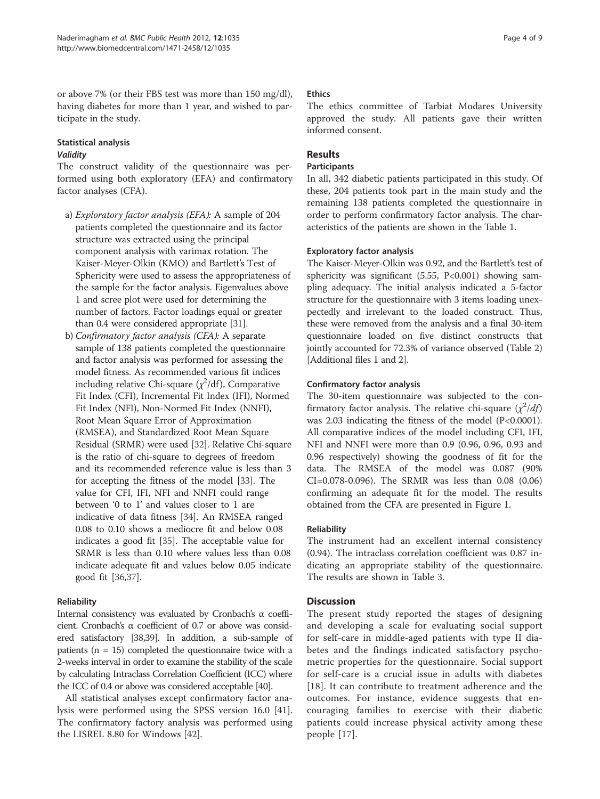or above 7% (or their FBS test was more than 150 mg/dl), having diabetes for more than 1 year, and wished to participate in the study.

## Statistical analysis Validity

The construct validity of the questionnaire was performed using both exploratory (EFA) and confirmatory factor analyses (CFA).

- a) Exploratory factor analysis (EFA): A sample of 204 patients completed the questionnaire and its factor structure was extracted using the principal component analysis with varimax rotation. The Kaiser-Meyer-Olkin (KMO) and Bartlett's Test of Sphericity were used to assess the appropriateness of the sample for the factor analysis. Eigenvalues above 1 and scree plot were used for determining the number of factors. Factor loadings equal or greater than 0.4 were considered appropriate [\[31](#page-7-0)].
- b) Confirmatory factor analysis (CFA): A separate sample of 138 patients completed the questionnaire and factor analysis was performed for assessing the model fitness. As recommended various fit indices including relative Chi-square  $(\chi^2/\mathrm{df})$ , Comparative Fit Index (CFI), Incremental Fit Index (IFI), Normed Fit Index (NFI), Non-Normed Fit Index (NNFI), Root Mean Square Error of Approximation (RMSEA), and Standardized Root Mean Square Residual (SRMR) were used [[32\]](#page-7-0). Relative Chi-square is the ratio of chi-square to degrees of freedom and its recommended reference value is less than 3 for accepting the fitness of the model [[33](#page-7-0)]. The value for CFI, IFI, NFI and NNFI could range between '0 to 1' and values closer to 1 are indicative of data fitness [\[34\]](#page-7-0). An RMSEA ranged 0.08 to 0.10 shows a mediocre fit and below 0.08 indicates a good fit [\[35\]](#page-7-0). The acceptable value for SRMR is less than 0.10 where values less than 0.08 indicate adequate fit and values below 0.05 indicate good fit [[36,37](#page-7-0)].

## Reliability

Internal consistency was evaluated by Cronbach's α coefficient. Cronbach's α coefficient of 0.7 or above was considered satisfactory [\[38,39](#page-7-0)]. In addition, a sub-sample of patients ( $n = 15$ ) completed the questionnaire twice with a 2-weeks interval in order to examine the stability of the scale by calculating Intraclass Correlation Coefficient (ICC) where the ICC of 0.4 or above was considered acceptable [[40\]](#page-7-0).

All statistical analyses except confirmatory factor analysis were performed using the SPSS version 16.0 [\[41](#page-7-0)]. The confirmatory factory analysis was performed using the LISREL 8.80 for Windows [[42\]](#page-7-0).

## **Ethics**

The ethics committee of Tarbiat Modares University approved the study. All patients gave their written informed consent.

## Results

## **Participants**

In all, 342 diabetic patients participated in this study. Of these, 204 patients took part in the main study and the remaining 138 patients completed the questionnaire in order to perform confirmatory factor analysis. The characteristics of the patients are shown in the Table [1.](#page-2-0)

## Exploratory factor analysis

The Kaiser-Meyer-Olkin was 0.92, and the Bartlett's test of sphericity was significant  $(5.55, P<0.001)$  showing sampling adequacy. The initial analysis indicated a 5-factor structure for the questionnaire with 3 items loading unexpectedly and irrelevant to the loaded construct. Thus, these were removed from the analysis and a final 30-item questionnaire loaded on five distinct constructs that jointly accounted for 72.3% of variance observed (Table [2](#page-4-0)) [Additional files [1](#page-6-0) and [2\]](#page-6-0).

## Confirmatory factor analysis

The 30-item questionnaire was subjected to the confirmatory factor analysis. The relative chi-square  $(\chi^2/df)$ was 2.03 indicating the fitness of the model (P<0.0001). All comparative indices of the model including CFI, IFI, NFI and NNFI were more than 0.9 (0.96, 0.96, 0.93 and 0.96 respectively) showing the goodness of fit for the data. The RMSEA of the model was 0.087 (90% CI=0.078-0.096). The SRMR was less than 0.08 (0.06) confirming an adequate fit for the model. The results obtained from the CFA are presented in Figure [1](#page-5-0).

## Reliability

The instrument had an excellent internal consistency (0.94). The intraclass correlation coefficient was 0.87 indicating an appropriate stability of the questionnaire. The results are shown in Table [3](#page-6-0).

## **Discussion**

The present study reported the stages of designing and developing a scale for evaluating social support for self-care in middle-aged patients with type II diabetes and the findings indicated satisfactory psychometric properties for the questionnaire. Social support for self-care is a crucial issue in adults with diabetes [[18](#page-7-0)]. It can contribute to treatment adherence and the outcomes. For instance, evidence suggests that encouraging families to exercise with their diabetic patients could increase physical activity among these people [\[17](#page-7-0)].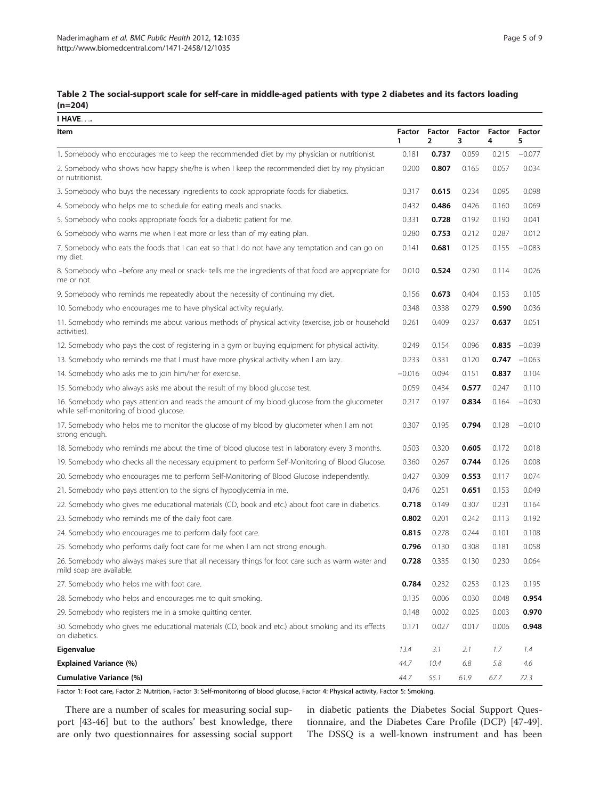#### <span id="page-4-0"></span>Table 2 The social-support scale for self-care in middle-aged patients with type 2 diabetes and its factors loading (n=204)  $\overline{I}$  HAVE

| <u>I HAVE</u>                                                                                                                           |             |             |             |             |             |
|-----------------------------------------------------------------------------------------------------------------------------------------|-------------|-------------|-------------|-------------|-------------|
| Item                                                                                                                                    | Factor<br>1 | Factor<br>2 | Factor<br>3 | Factor<br>4 | Factor<br>5 |
| 1. Somebody who encourages me to keep the recommended diet by my physician or nutritionist.                                             | 0.181       | 0.737       | 0.059       | 0.215       | $-0.077$    |
| 2. Somebody who shows how happy she/he is when I keep the recommended diet by my physician<br>or nutritionist.                          | 0.200       | 0.807       | 0.165       | 0.057       | 0.034       |
| 3. Somebody who buys the necessary ingredients to cook appropriate foods for diabetics.                                                 | 0.317       | 0.615       | 0.234       | 0.095       | 0.098       |
| 4. Somebody who helps me to schedule for eating meals and snacks.                                                                       | 0.432       | 0.486       | 0.426       | 0.160       | 0.069       |
| 5. Somebody who cooks appropriate foods for a diabetic patient for me.                                                                  | 0.331       | 0.728       | 0.192       | 0.190       | 0.041       |
| 6. Somebody who warns me when I eat more or less than of my eating plan.                                                                | 0.280       | 0.753       | 0.212       | 0.287       | 0.012       |
| 7. Somebody who eats the foods that I can eat so that I do not have any temptation and can go on<br>my diet.                            | 0.141       | 0.681       | 0.125       | 0.155       | $-0.083$    |
| 8. Somebody who -before any meal or snack- tells me the ingredients of that food are appropriate for<br>me or not.                      | 0.010       | 0.524       | 0.230       | 0.114       | 0.026       |
| 9. Somebody who reminds me repeatedly about the necessity of continuing my diet.                                                        | 0.156       | 0.673       | 0.404       | 0.153       | 0.105       |
| 10. Somebody who encourages me to have physical activity regularly.                                                                     | 0.348       | 0.338       | 0.279       | 0.590       | 0.036       |
| 11. Somebody who reminds me about various methods of physical activity (exercise, job or household<br>activities).                      | 0.261       | 0.409       | 0.237       | 0.637       | 0.051       |
| 12. Somebody who pays the cost of registering in a gym or buying equipment for physical activity.                                       | 0.249       | 0.154       | 0.096       | 0.835       | $-0.039$    |
| 13. Somebody who reminds me that I must have more physical activity when I am lazy.                                                     | 0.233       | 0.331       | 0.120       | 0.747       | $-0.063$    |
| 14. Somebody who asks me to join him/her for exercise.                                                                                  | $-0.016$    | 0.094       | 0.151       | 0.837       | 0.104       |
| 15. Somebody who always asks me about the result of my blood glucose test.                                                              | 0.059       | 0.434       | 0.577       | 0.247       | 0.110       |
| 16. Somebody who pays attention and reads the amount of my blood glucose from the glucometer<br>while self-monitoring of blood glucose. | 0.217       | 0.197       | 0.834       | 0.164       | $-0.030$    |
| 17. Somebody who helps me to monitor the glucose of my blood by glucometer when I am not<br>strong enough.                              | 0.307       | 0.195       | 0.794       | 0.128       | $-0.010$    |
| 18. Somebody who reminds me about the time of blood glucose test in laboratory every 3 months.                                          | 0.503       | 0.320       | 0.605       | 0.172       | 0.018       |
| 19. Somebody who checks all the necessary equipment to perform Self-Monitoring of Blood Glucose.                                        | 0.360       | 0.267       | 0.744       | 0.126       | 0.008       |
| 20. Somebody who encourages me to perform Self-Monitoring of Blood Glucose independently.                                               | 0.427       | 0.309       | 0.553       | 0.117       | 0.074       |
| 21. Somebody who pays attention to the signs of hypoglycemia in me.                                                                     | 0.476       | 0.251       | 0.651       | 0.153       | 0.049       |
| 22. Somebody who gives me educational materials (CD, book and etc.) about foot care in diabetics.                                       | 0.718       | 0.149       | 0.307       | 0.231       | 0.164       |
| 23. Somebody who reminds me of the daily foot care.                                                                                     | 0.802       | 0.201       | 0.242       | 0.113       | 0.192       |
| 24. Somebody who encourages me to perform daily foot care.                                                                              | 0.815       | 0.278       | 0.244       | 0.101       | 0.108       |
| 25. Somebody who performs daily foot care for me when I am not strong enough.                                                           | 0.796       | 0.130       | 0.308       | 0.181       | 0.058       |
| 26. Somebody who always makes sure that all necessary things for foot care such as warm water and<br>mild soap are available.           | 0.728       | 0.335       | 0.130       | 0.230       | 0.064       |
| 27. Somebody who helps me with foot care.                                                                                               | 0.784       | 0.232       | 0.253       | 0.123       | 0.195       |
| 28. Somebody who helps and encourages me to quit smoking.                                                                               | 0.135       | 0.006       | 0.030       | 0.048       | 0.954       |
| 29. Somebody who registers me in a smoke quitting center.                                                                               | 0.148       | 0.002       | 0.025       | 0.003       | 0.970       |
| 30. Somebody who gives me educational materials (CD, book and etc.) about smoking and its effects<br>on diabetics.                      | 0.171       | 0.027       | 0.017       | 0.006       | 0.948       |
| Eigenvalue                                                                                                                              | 13.4        | 3.1         | 2.1         | 1.7         | 1.4         |
| <b>Explained Variance (%)</b>                                                                                                           | 44.7        | 10.4        | 6.8         | 5.8         | 4.6         |
| Cumulative Variance (%)                                                                                                                 | 44.7        | 55.1        | 61.9        | 67.7        | 72.3        |

Factor 1: Foot care, Factor 2: Nutrition, Factor 3: Self-monitoring of blood glucose, Factor 4: Physical activity, Factor 5: Smoking.

There are a number of scales for measuring social support [[43](#page-7-0)-[46\]](#page-7-0) but to the authors' best knowledge, there are only two questionnaires for assessing social support in diabetic patients the Diabetes Social Support Questionnaire, and the Diabetes Care Profile (DCP) [\[47-49](#page-8-0)]. The DSSQ is a well-known instrument and has been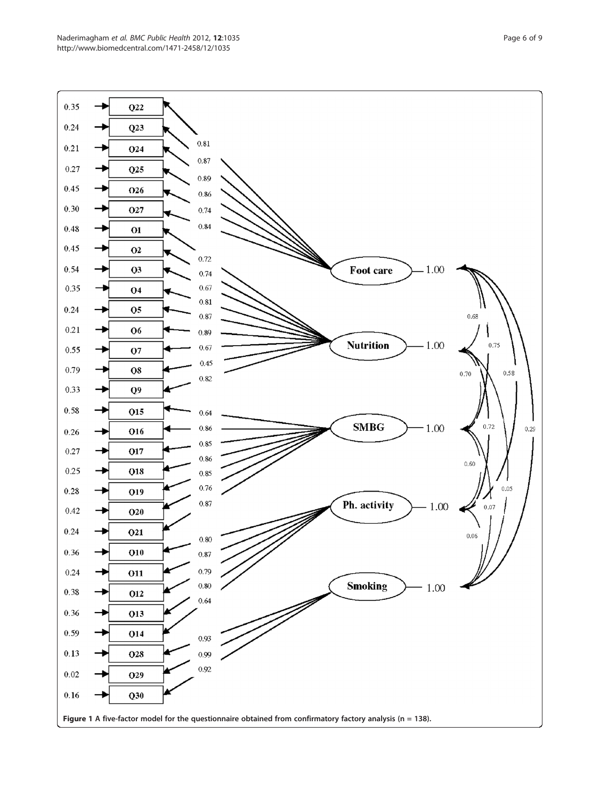<span id="page-5-0"></span>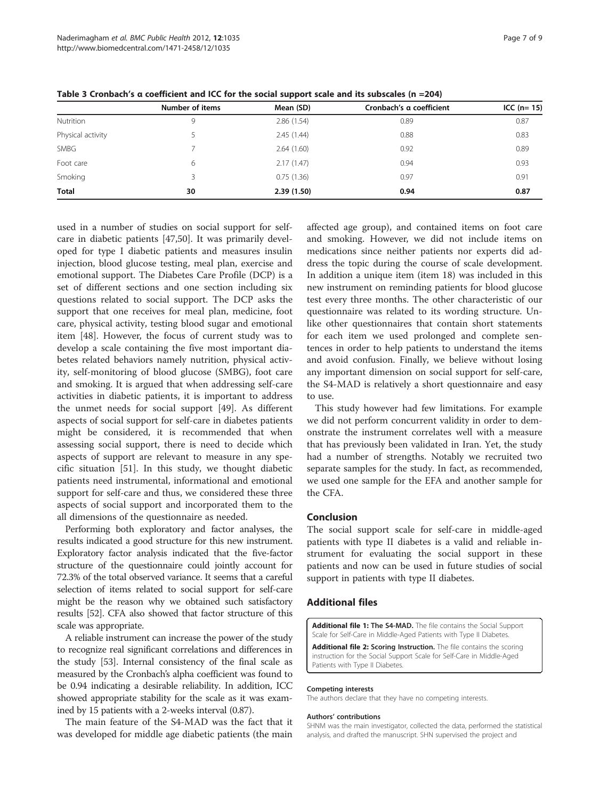|                   | Number of items | Mean (SD)  | Cronbach's a coefficient | ICC $(n=15)$ |  |
|-------------------|-----------------|------------|--------------------------|--------------|--|
| Nutrition         | 9               | 2.86(1.54) | 0.89                     | 0.87         |  |
| Physical activity |                 | 2.45(1.44) | 0.88                     | 0.83         |  |
| <b>SMBG</b>       |                 | 2.64(1.60) | 0.92                     | 0.89         |  |
| Foot care         | 6               | 2.17(1.47) | 0.94                     | 0.93         |  |
| Smoking           |                 | 0.75(1.36) | 0.97                     | 0.91         |  |
| <b>Total</b>      | 30              | 2.39(1.50) | 0.94                     | 0.87         |  |

<span id="page-6-0"></span>Table 3 Cronbach's α coefficient and ICC for the social support scale and its subscales (n =204)

used in a number of studies on social support for selfcare in diabetic patients [\[47,50](#page-8-0)]. It was primarily developed for type I diabetic patients and measures insulin injection, blood glucose testing, meal plan, exercise and emotional support. The Diabetes Care Profile (DCP) is a set of different sections and one section including six questions related to social support. The DCP asks the support that one receives for meal plan, medicine, foot care, physical activity, testing blood sugar and emotional item [[48\]](#page-8-0). However, the focus of current study was to develop a scale containing the five most important diabetes related behaviors namely nutrition, physical activity, self-monitoring of blood glucose (SMBG), foot care and smoking. It is argued that when addressing self-care activities in diabetic patients, it is important to address the unmet needs for social support [[49](#page-8-0)]. As different aspects of social support for self-care in diabetes patients might be considered, it is recommended that when assessing social support, there is need to decide which aspects of support are relevant to measure in any specific situation [\[51](#page-8-0)]. In this study, we thought diabetic patients need instrumental, informational and emotional support for self-care and thus, we considered these three aspects of social support and incorporated them to the all dimensions of the questionnaire as needed.

Performing both exploratory and factor analyses, the results indicated a good structure for this new instrument. Exploratory factor analysis indicated that the five-factor structure of the questionnaire could jointly account for 72.3% of the total observed variance. It seems that a careful selection of items related to social support for self-care might be the reason why we obtained such satisfactory results [\[52\]](#page-8-0). CFA also showed that factor structure of this scale was appropriate.

A reliable instrument can increase the power of the study to recognize real significant correlations and differences in the study [[53](#page-8-0)]. Internal consistency of the final scale as measured by the Cronbach's alpha coefficient was found to be 0.94 indicating a desirable reliability. In addition, ICC showed appropriate stability for the scale as it was examined by 15 patients with a 2-weeks interval (0.87).

The main feature of the S4-MAD was the fact that it was developed for middle age diabetic patients (the main

affected age group), and contained items on foot care and smoking. However, we did not include items on medications since neither patients nor experts did address the topic during the course of scale development. In addition a unique item (item 18) was included in this new instrument on reminding patients for blood glucose test every three months. The other characteristic of our questionnaire was related to its wording structure. Unlike other questionnaires that contain short statements for each item we used prolonged and complete sentences in order to help patients to understand the items and avoid confusion. Finally, we believe without losing any important dimension on social support for self-care, the S4-MAD is relatively a short questionnaire and easy to use.

This study however had few limitations. For example we did not perform concurrent validity in order to demonstrate the instrument correlates well with a measure that has previously been validated in Iran. Yet, the study had a number of strengths. Notably we recruited two separate samples for the study. In fact, as recommended, we used one sample for the EFA and another sample for the CFA.

#### Conclusion

The social support scale for self-care in middle-aged patients with type II diabetes is a valid and reliable instrument for evaluating the social support in these patients and now can be used in future studies of social support in patients with type II diabetes.

#### Additional files

[Additional file 1:](http://www.biomedcentral.com/content/supplementary/1471-2458-12-1035-S1.doc) The S4-MAD. The file contains the Social Support Scale for Self-Care in Middle-Aged Patients with Type II Diabetes.

[Additional file 2:](http://www.biomedcentral.com/content/supplementary/1471-2458-12-1035-S2.doc) Scoring Instruction. The file contains the scoring instruction for the Social Support Scale for Self-Care in Middle-Aged Patients with Type II Diabetes.

#### Competing interests

The authors declare that they have no competing interests.

#### Authors' contributions

SHNM was the main investigator, collected the data, performed the statistical analysis, and drafted the manuscript. SHN supervised the project and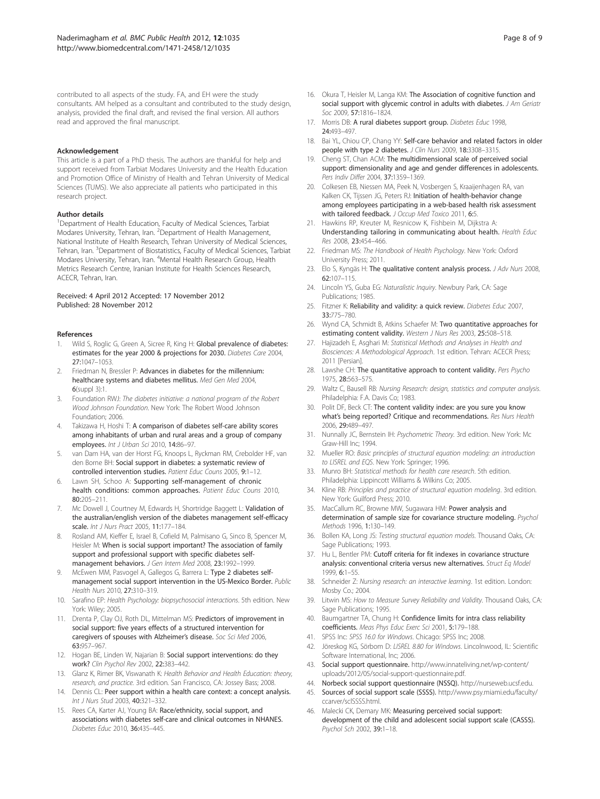<span id="page-7-0"></span>contributed to all aspects of the study. FA, and EH were the study consultants. AM helped as a consultant and contributed to the study design, analysis, provided the final draft, and revised the final version. All authors read and approved the final manuscript.

#### Acknowledgement

This article is a part of a PhD thesis. The authors are thankful for help and support received from Tarbiat Modares University and the Health Education and Promotion Office of Ministry of Health and Tehran University of Medical Sciences (TUMS). We also appreciate all patients who participated in this research project.

#### Author details

<sup>1</sup>Department of Health Education, Faculty of Medical Sciences, Tarbiat Modares University, Tehran, Iran. <sup>2</sup>Department of Health Management, National Institute of Health Research, Tehran University of Medical Sciences, Tehran, Iran. <sup>3</sup>Department of Biostatistics, Faculty of Medical Sciences, Tarbiat Modares University, Tehran, Iran. <sup>4</sup>Mental Health Research Group, Health Metrics Research Centre, Iranian Institute for Health Sciences Research, ACECR, Tehran, Iran.

#### Received: 4 April 2012 Accepted: 17 November 2012 Published: 28 November 2012

#### References

- 1. Wild S, Roglic G, Green A, Sicree R, King H: Global prevalence of diabetes: estimates for the year 2000 & projections for 2030. Diabetes Care 2004, 27:1047–1053.
- 2. Friedman N, Bressler P: Advances in diabetes for the millennium: healthcare systems and diabetes mellitus. Med Gen Med 2004, 6(suppl 3):1.
- 3. Foundation RWJ: The diabetes initiative: a national program of the Robert Wood Johnson Foundation. New York: The Robert Wood Johnson Foundation; 2006.
- 4. Takizawa H, Hoshi T: A comparison of diabetes self-care ability scores among inhabitants of urban and rural areas and a group of company employees. Int J Urban Sci 2010, 14:86-97.
- 5. van Dam HA, van der Horst FG, Knoops L, Ryckman RM, Crebolder HF, van den Borne BH: Social support in diabetes: a systematic review of controlled intervention studies. Patient Educ Couns 2005, 9:1–12.
- 6. Lawn SH, Schoo A: Supporting self-management of chronic health conditions: common approaches. Patient Educ Couns 2010,  $80.205 - 211$
- 7. Mc Dowell J, Courtney M, Edwards H, Shortridge Baggett L: Validation of the australian/english version of the diabetes management self-efficacy scale. Int J Nurs Pract 2005, 11:177–184.
- 8. Rosland AM, Kieffer E, Israel B, Cofield M, Palmisano G, Sinco B, Spencer M, Heisler M: When is social support important? The association of family support and professional support with specific diabetes selfmanagement behaviors. J Gen Intern Med 2008, 23:1992–1999.
- McEwen MM, Pasvogel A, Gallegos G, Barrera L: Type 2 diabetes selfmanagement social support intervention in the US-Mexico Border. Public Health Nurs 2010, 27:310–319.
- 10. Sarafino EP: Health Psychology: biopsychosocial interactions. 5th edition. New York: Wiley; 2005.
- 11. Drenta P, Clay OJ, Roth DL, Mittelman MS: Predictors of improvement in social support: five years effects of a structured intervention for caregivers of spouses with Alzheimer's disease. Soc Sci Med 2006, 63:957–967.
- 12. Hogan BE, Linden W, Najarian B: Social support interventions: do they work? Clin Psychol Rev 2002, 22:383–442.
- 13. Glanz K, Rimer BK, Viswanath K: Health Behavior and Health Education: theory, research, and practice. 3rd edition. San Francisco, CA: Jossey Bass; 2008.
- 14. Dennis CL: Peer support within a health care context: a concept analysis. Int J Nurs Stud 2003, 40:321–332.
- 15. Rees CA, Karter AJ, Young BA: Race/ethnicity, social support, and associations with diabetes self-care and clinical outcomes in NHANES. Diabetes Educ 2010, 36:435–445.
- 16. Okura T, Heisler M, Langa KM: The Association of cognitive function and social support with glycemic control in adults with diabetes. J Am Geriatr Soc 2009, 57:1816–1824.
- 17. Morris DB: A rural diabetes support group. Diabetes Educ 1998, 24:493–497.
- 18. Bai YL, Chiou CP, Chang YY: Self-care behavior and related factors in older people with type 2 diabetes. J Clin Nurs 2009, 18:3308–3315.
- 19. Cheng ST, Chan ACM: The multidimensional scale of perceived social support: dimensionality and age and gender differences in adolescents. Pers Indiv Differ 2004, 37:1359–1369.
- 20. Colkesen EB, Niessen MA, Peek N, Vosbergen S, Kraaijenhagen RA, van Kalken CK, Tijssen JG, Peters RJ: Initiation of health-behavior change among employees participating in a web-based health risk assessment with tailored feedback. J Occup Med Toxico 2011, 6:5.
- 21. Hawkins RP, Kreuter M, Resnicow K, Fishbein M, Dijkstra A: Understanding tailoring in communicating about health. Health Educ Res 2008, 23:454–466.
- 22. Friedman MS: The Handbook of Health Psychology. New York: Oxford University Press; 2011.
- 23. Elo S, Kyngäs H: The qualitative content analysis process. J Adv Nurs 2008, 62:107–115.
- 24. Lincoln YS, Guba EG: Naturalistic Inquiry. Newbury Park, CA: Sage Publications; 1985.
- 25. Fitzner K: Reliability and validity: a quick review. Diabetes Educ 2007, 33:775–780.
- 26. Wynd CA, Schmidt B, Atkins Schaefer M: Two quantitative approaches for estimating content validity. Western J Nurs Res 2003, 25:508–518.
- 27. Hajizadeh E, Asghari M: Statistical Methods and Analyses in Health and Biosciences: A Methodological Approach. 1st edition. Tehran: ACECR Press; 2011 [Persian].
- 28. Lawshe CH: The quantitative approach to content validity. Pers Psycho 1975, 28:563–575.
- 29. Waltz C, Bausell RB: Nursing Research: design, statistics and computer analysis. Philadelphia: F.A. Davis Co; 1983.
- 30. Polit DF, Beck CT: The content validity index: are you sure you know what's being reported? Critique and recommendations. Res Nurs Health 2006, 29:489–497.
- 31. Nunnally JC, Bernstein IH: Psychometric Theory. 3rd edition. New York: Mc Graw-Hill Inc; 1994.
- 32. Mueller RO: Basic principles of structural equation modeling: an introduction to LISREL and EQS. New York: Springer; 1996.
- 33. Munro BH: Statistical methods for health care research. 5th edition. Philadelphia: Lippincott Williams & Wilkins Co; 2005.
- 34. Kline RB: Principles and practice of structural equation modeling. 3rd edition. New York: Guilford Press; 2010.
- 35. MacCallum RC, Browne MW, Sugawara HM: Power analysis and determination of sample size for covariance structure modeling. Psychol Methods 1996, 1:130–149.
- 36. Bollen KA, Long JS: Testing structural equation models. Thousand Oaks, CA: Sage Publications; 1993.
- 37. Hu L, Bentler PM: Cutoff criteria for fit indexes in covariance structure analysis: conventional criteria versus new alternatives. Struct Eq Model 1999, 6:1–55.
- 38. Schneider Z: Nursing research: an interactive learning. 1st edition. London: Mosby Co.; 2004.
- 39. Litwin MS: How to Measure Survey Reliability and Validity. Thousand Oaks, CA: Sage Publications; 1995.
- 40. Baumgartner TA, Chung H: Confidence limits for intra class reliability coefficients. Meas Phys Educ Exerc Sci 2001, 5:179–188.
- 41. SPSS Inc: SPSS 16.0 for Windows. Chicago: SPSS Inc; 2008.
- 42. Jöreskog KG, Sörbom D: LISREL 8.80 for Windows. Lincolnwood, IL: Scientific Software International, Inc; 2006.
- 43. Social support questionnaire. [http://www.innateliving.net/wp-content/](http://www.innateliving.net/wp-content/uploads/2012/05/social-support-questionnaire.pdf) [uploads/2012/05/social-support-questionnaire.pdf](http://www.innateliving.net/wp-content/uploads/2012/05/social-support-questionnaire.pdf).
- 44. Norbeck social support questionnaire (NSSQ). <http://nurseweb.ucsf.edu>.
- 45. Sources of social support scale (SSSS). [http://www.psy.miami.edu/faculty/](http://www.psy.miami.edu/faculty/ccarver/sclSSSS.html) [ccarver/sclSSSS.html.](http://www.psy.miami.edu/faculty/ccarver/sclSSSS.html)
- 46. Malecki CK, Demary MK: Measuring perceived social support: development of the child and adolescent social support scale (CASSS). Psychol Sch 2002, 39:1–18.